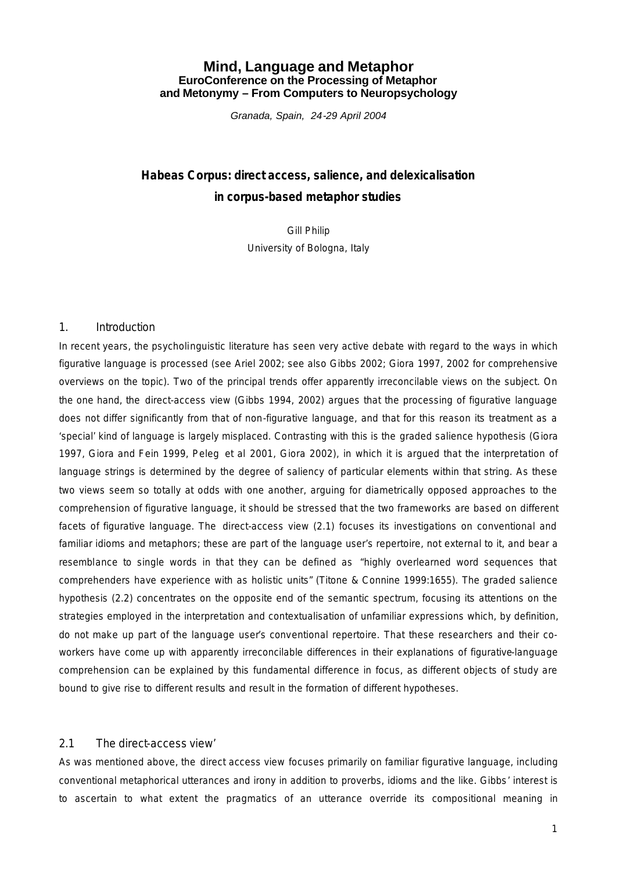# **Mind, Language and Metaphor EuroConference on the Processing of Metaphor and Metonymy – From Computers to Neuropsychology**

*Granada, Spain, 24-29 April 2004*

# *Habeas Corpus: direct access, salience, and delexicalisation in corpus-based metaphor studies*

Gill Philip University of Bologna, Italy

#### *1. Introduction*

In recent years, the psycholinguistic literature has seen very active debate with regard to the ways in which figurative language is processed (see Ariel 2002; see also Gibbs 2002; Giora 1997, 2002 for comprehensive overviews on the topic). Two of the principal trends offer apparently irreconcilable views on the subject. On the one hand, the *direct-access view* (Gibbs 1994, 2002) argues that the processing of figurative language does not differ significantly from that of non-figurative language, and that for this reason its treatment as a 'special' kind of language is largely misplaced. Contrasting with this is the *graded salience hypothesis* (Giora 1997, Giora and Fein 1999, Peleg *et al* 2001, Giora 2002), in which it is argued that the interpretation of language strings is determined by the degree of saliency of particular elements within that string. As these two views seem so totally at odds with one another, arguing for diametrically opposed approaches to the comprehension of figurative language, it should be stressed that the two frameworks are based on different facets of figurative language. The *direct-access view* (2.1) focuses its investigations on conventional and familiar idioms and metaphors; these are part of the language user's repertoire, not external to it, and bear a resemblance to single words in that they can be defined as "highly overlearned word sequences that comprehenders have experience with as holistic units" (Titone & Connine 1999:1655). The *graded salience hypothesis* (2.2) concentrates on the opposite end of the semantic spectrum, focusing its attentions on the strategies employed in the interpretation and contextualisation of unfamiliar expressions which, by definition, do not make up part of the language user's conventional repertoire. That these researchers and their coworkers have come up with apparently irreconcilable differences in their explanations of figurative-language comprehension can be explained by this fundamental difference in focus, as different objects of study are bound to give rise to different results and result in the formation of different hypotheses.

#### *2.1 The* direct-access view'

As was mentioned above, the *direct access view* focuses primarily on familiar figurative language, including conventional metaphorical utterances and irony in addition to proverbs, idioms and the like. Gibbs' interest is to ascertain to what extent the pragmatics of an utterance override its compositional meaning in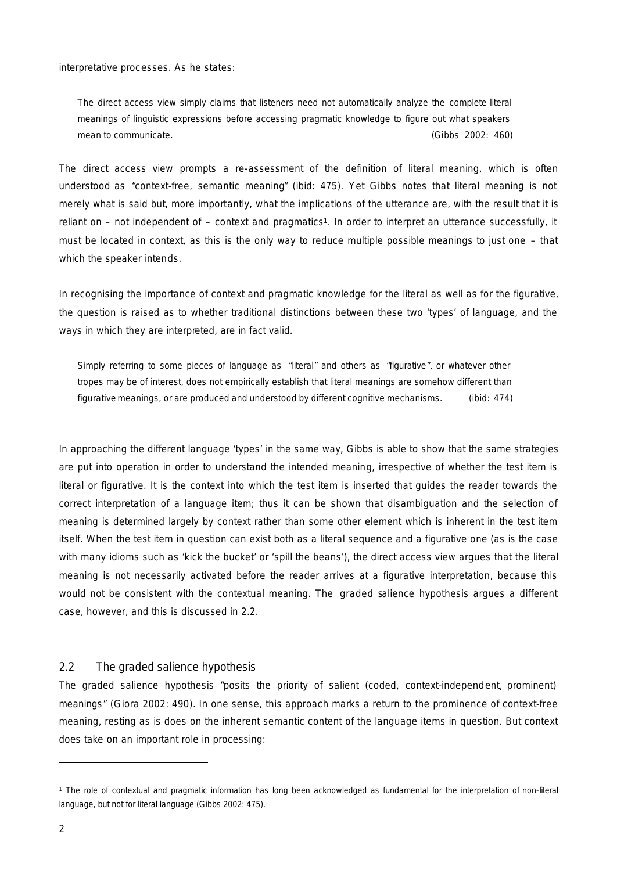interpretative processes. As he states:

The *direct access view* simply claims that listeners need not automatically analyze the *complete* literal meanings of linguistic expressions before accessing pragmatic knowledge to figure out what speakers mean to communicate. The communicate of the communicate of the communicate of the control of the control of the control of the control of the control of the control of the control of the control of the control of the contr

The *direct access view* prompts a re-assessment of the definition of literal meaning, which is often understood as "context-free, semantic meaning" (ibid: 475). Yet Gibbs notes that literal meaning is not merely what is said but, more importantly, what the implications of the utterance are, with the result that it is reliant on – not independent of – context and pragmatics1. In order to interpret an utterance successfully, it must be located in context, as this is the only way to reduce multiple possible meanings to just one – that which the speaker intends.

In recognising the importance of context and pragmatic knowledge for the literal as well as for the figurative, the question is raised as to whether traditional distinctions between these two 'types' of language, and the ways in which they are interpreted, are in fact valid.

Simply referring to some pieces of language as "literal" and others as "figurative", or whatever other tropes may be of interest, does not empirically establish that literal meanings are somehow different than figurative meanings, or are produced and understood by different cognitive mechanisms. (ibid: 474)

In approaching the different language 'types' in the same way, Gibbs is able to show that the same strategies are put into operation in order to understand the intended meaning, irrespective of whether the test item is literal or figurative. It is the context into which the test item is inserted that guides the reader towards the correct interpretation of a language item; thus it can be shown that disambiguation and the selection of meaning is determined largely by context rather than some other element which is inherent in the test item itself. When the test item in question can exist both as a literal sequence and a figurative one (as is the case with many idioms such as 'kick the bucket' or 'spill the beans'), the *direct access view* argues that the literal meaning is not necessarily activated before the reader arrives at a figurative interpretation, because this would not be consistent with the contextual meaning. The *graded salience hypothesis* argues a different case, however, and this is discussed in 2.2.

## *2.2 The* graded salience hypothesis

The *graded salience hypothesis* "posits the priority of salient (coded, context-independent, prominent) meanings" (Giora 2002: 490). In one sense, this approach marks a return to the prominence of context-free meaning, resting as is does on the inherent semantic content of the language items in question. But context does take on an important role in processing:

<sup>1</sup> The role of contextual and pragmatic information has long been acknowledged as fundamental for the interpretation of *non*-literal language, but not for literal language (Gibbs 2002: 475).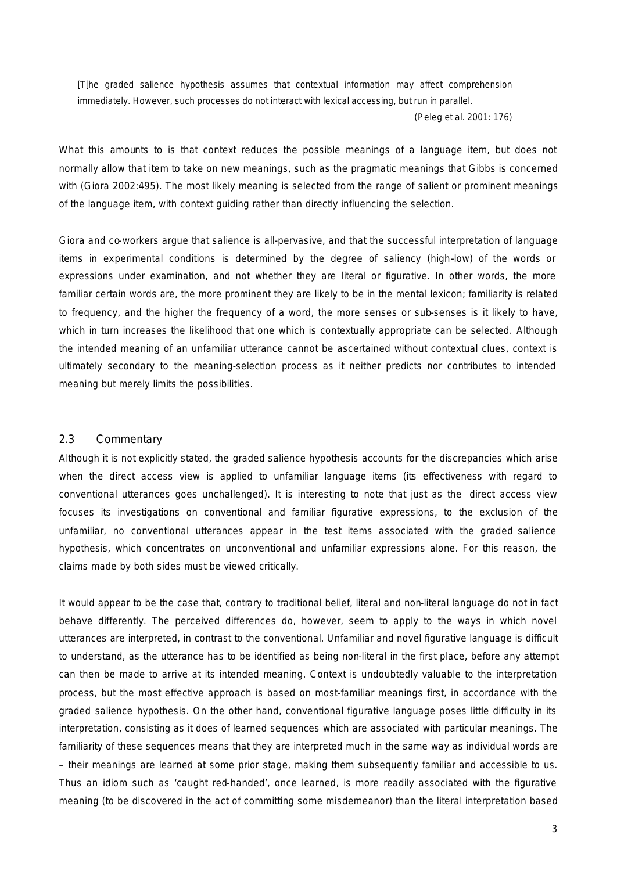[T]he graded salience hypothesis assumes that contextual information may affect comprehension immediately. However, such processes do not interact with lexical accessing, but run in parallel.

(Peleg *et al.* 2001: 176)

What this amounts to is that context reduces the possible meanings of a language item, but does not normally allow that item to take on new meanings, such as the pragmatic meanings that Gibbs is concerned with (Giora 2002:495). The most likely meaning is selected from the range of salient or prominent meanings of the language item, with context guiding rather than directly influencing the selection.

Giora and co-workers argue that salience is all-pervasive, and that the successful interpretation of language items in experimental conditions is determined by the degree of saliency (high-low) of the words or expressions under examination, and not whether they are literal or figurative. In other words, the more familiar certain words are, the more prominent they are likely to be in the mental lexicon; familiarity is related to frequency, and the higher the frequency of a word, the more senses or sub-senses is it likely to have, which in turn increases the likelihood that one which is contextually appropriate can be selected. Although the intended meaning of an unfamiliar utterance cannot be ascertained without contextual clues, context is ultimately secondary to the meaning-selection process as it neither predicts nor contributes to intended meaning but merely limits the possibilities.

#### *2.3 Commentary*

Although it is not explicitly stated, the *graded salience hypothesis* accounts for the discrepancies which arise when the *direct access view* is applied to unfamiliar language items (its effectiveness with regard to conventional utterances goes unchallenged). It is interesting to note that just as the *direct access view* focuses its investigations on conventional and familiar figurative expressions, to the exclusion of the unfamiliar, no conventional utterances appear in the test items associated with the *graded salience hypothesis*, which concentrates on unconventional and unfamiliar expressions alone. For this reason, the claims made by both sides must be viewed critically.

It would appear to be the case that, contrary to traditional belief, literal and non-literal language do not in fact behave differently. The perceived differences do, however, seem to apply to the ways in which novel utterances are interpreted, in contrast to the conventional. Unfamiliar and novel figurative language is difficult to understand, as the utterance has to be identified as being non-literal in the first place, before any attempt can then be made to arrive at its intended meaning. Context is undoubtedly valuable to the interpretation process, but the most effective approach is based on most-familiar meanings first, in accordance with the *graded salience hypothesis*. On the other hand, conventional figurative language poses little difficulty in its interpretation, consisting as it does of learned sequences which are associated with particular meanings. The familiarity of these sequences means that they are interpreted much in the same way as individual words are – their meanings are learned at some prior stage, making them subsequently familiar and accessible to us. Thus an idiom such as 'caught red-handed', once learned, is more readily associated with the figurative meaning (to be discovered in the act of committing some misdemeanor) than the literal interpretation based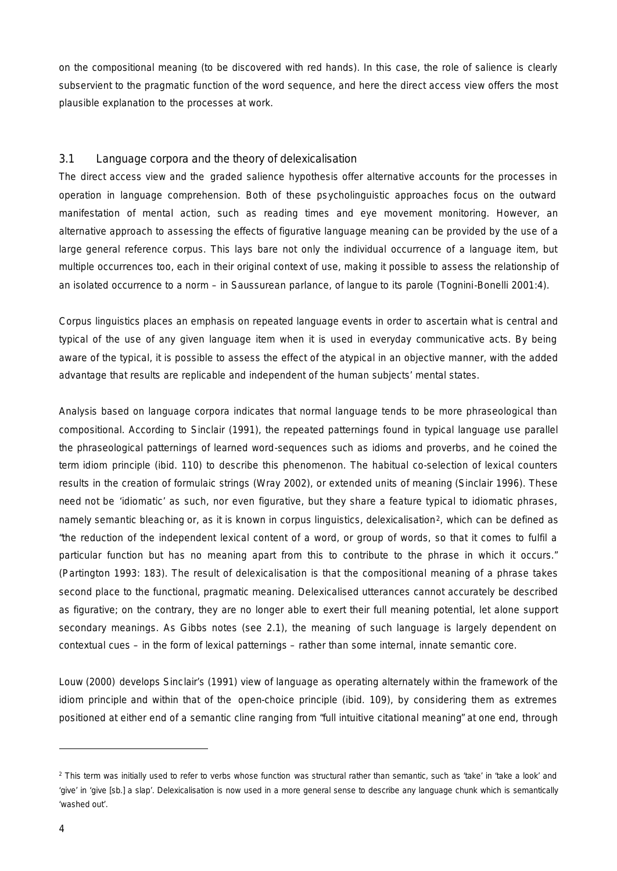on the compositional meaning (to be discovered with red hands). In this case, the role of salience is clearly subservient to the pragmatic function of the word sequence, and here the *direct access view* offers the most plausible explanation to the processes at work.

## *3.1 Language corpora and the theory of* delexicalisation

The *direct access view* and the *graded salience hypothesis* offer alternative accounts for the processes in operation in language comprehension. Both of these psycholinguistic approaches focus on the outward manifestation of mental action, such as reading times and eye movement monitoring. However, an alternative approach to assessing the effects of figurative language meaning can be provided by the use of a large general reference corpus. This lays bare not only the individual occurrence of a language item, but multiple occurrences too, each in their original context of use, making it possible to assess the relationship of an isolated occurrence to a norm – in Saussurean parlance, of *langue* to its *parole* (Tognini-Bonelli 2001:4).

Corpus linguistics places an emphasis on repeated language events in order to ascertain what is central and typical of the use of any given language item when it is used in everyday communicative acts. By being aware of the typical, it is possible to assess the effect of the atypical in an objective manner, with the added advantage that results are replicable and independent of the human subjects' mental states.

Analysis based on language corpora indicates that normal language tends to be more phraseological than compositional. According to Sinclair (1991), the repeated patternings found in typical language use parallel the phraseological patternings of learned word-sequences such as idioms and proverbs, and he coined the term *idiom principle* (ibid. 110) to describe this phenomenon. The habitual co-selection of lexical counters results in the creation of formulaic strings (Wray 2002), or *extended units of meaning* (Sinclair 1996). These need not be 'idiomatic' as such, nor even figurative, but they share a feature typical to idiomatic phrases, namely *semantic bleaching* or, as it is known in corpus linguistics, *delexicalisation*2, which can be defined as "the reduction of the independent lexical content of a word, or group of words, so that it comes to fulfil a particular function but has no meaning apart from this to contribute to the phrase in which it occurs." (Partington 1993: 183). The result of delexicalisation is that the compositional meaning of a phrase takes second place to the functional, pragmatic meaning. Delexicalised utterances cannot accurately be described as figurative; on the contrary, they are no longer able to exert their full meaning potential, let alone support secondary meanings. As Gibbs notes (see 2.1), the meaning of such language is largely dependent on contextual cues – in the form of lexical patternings – rather than some internal, innate semantic core.

Louw (2000) develops Sinclair's (1991) view of language as operating alternately within the framework of the *idiom principle* and within that of the *open-choice principle* (ibid. 109), by considering them as extremes positioned at either end of a semantic cline ranging from "full intuitive citational meaning" at one end, through

<sup>2</sup> This term was initially used to refer to verbs whose function was structural rather than semantic, such as 'take' in 'take a look' and 'give' in 'give [sb.] a slap'. Delexicalisation is now used in a more general sense to describe any language chunk which is semantically 'washed out'.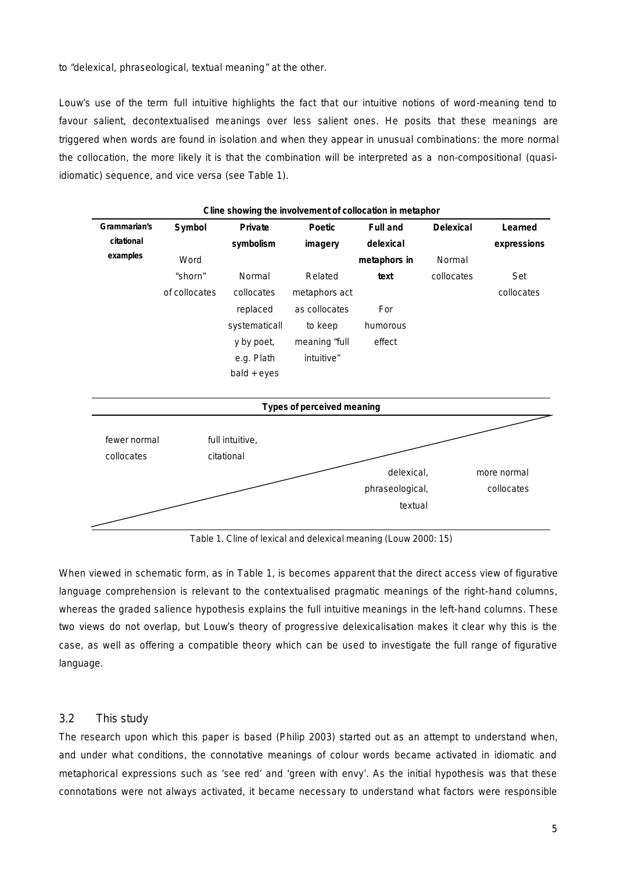to "delexical, phraseological, textual meaning" at the other.

Louw's use of the term *full intuitive* highlights the fact that our intuitive notions of word-meaning tend to favour salient, decontextualised meanings over less salient ones. He posits that these meanings are triggered when words are found in isolation and when they appear in unusual combinations: the more normal the collocation, the more likely it is that the combination will be interpreted as a non-compositional (quasiidiomatic) sequence, and vice versa (see Table 1).



*Table 1. Cline of lexical and delexical meaning (Louw 2000: 15)*

When viewed in schematic form, as in Table 1, is becomes apparent that the *direct access view* of figurative language comprehension is relevant to the contextualised pragmatic meanings of the right-hand columns, whereas the *graded salience hypothesis* explains the *full intuitive* meanings in the left-hand columns. These two views do not overlap, but Louw's theory of progressive delexicalisation makes it clear why this is the case, as well as offering a compatible theory which can be used to investigate the full range of figurative language.

# *3.2 This study*

The research upon which this paper is based (Philip 2003) started out as an attempt to understand when, and under what conditions, the connotative meanings of colour words became activated in idiomatic and metaphorical expressions such as 'see red' and 'green with envy'. As the initial hypothesis was that these connotations were not always activated, it became necessary to understand what factors were responsible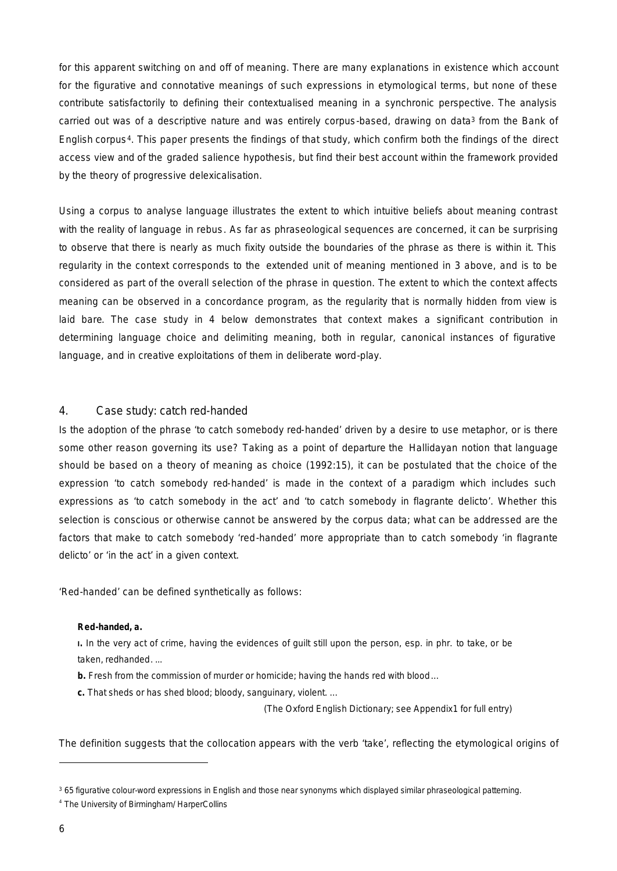for this apparent switching on and off of meaning. There are many explanations in existence which account for the figurative and connotative meanings of such expressions in etymological terms, but none of these contribute satisfactorily to defining their contextualised meaning in a synchronic perspective. The analysis carried out was of a descriptive nature and was entirely corpus-based, drawing on data<sup>3</sup> from the Bank of English corpus4. This paper presents the findings of that study, which confirm both the findings of the *direct access view* and of the *graded salience hypothesis*, but find their best account within the framework provided by the *theory of progressive delexicalisation*.

Using a corpus to analyse language illustrates the extent to which intuitive beliefs about meaning contrast with the reality of language *in rebus*. As far as phraseological sequences are concerned, it can be surprising to observe that there is nearly as much fixity outside the boundaries of the phrase as there is within it. This regularity in the context corresponds to the *extended unit of meaning* mentioned in 3 above, and is to be considered as part of the overall selection of the phrase in question. The extent to which the context affects meaning can be observed in a concordance program, as the regularity that is normally hidden from view is laid bare. The case study in 4 below demonstrates that context makes a significant contribution in determining language choice and delimiting meaning, both in regular, canonical instances of figurative language, and in creative exploitations of them in deliberate word-play.

## *4. Case study:* catch red-handed

Is the adoption of the phrase 'to catch somebody red-handed' driven by a desire to use metaphor, or is there some other reason governing its use? Taking as a point of departure the Hallidayan notion that language should be based on a theory of meaning as choice (1992:15), it can be postulated that the choice of the expression 'to catch somebody red-handed' is made in the context of a paradigm which includes such expressions as 'to catch somebody in the act' and 'to catch somebody in flagrante delicto'. Whether this selection is conscious or otherwise cannot be answered by the corpus data; what can be addressed are the factors that make to catch somebody 'red-handed' more appropriate than to catch somebody 'in flagrante delicto' or 'in the act' in a given context.

'Red-handed' can be defined synthetically as follows:

#### **Red-handed,** *a***.**

**I.** In the very act of crime, having the evidences of guilt still upon the person, esp. in phr. *to take*, or *be taken*, *redhanded*. ...

**b.** Fresh from the commission of murder or homicide; having the hands red with blood…

**c.** That sheds or has shed blood; bloody, sanguinary, violent. ...

(The Oxford English Dictionary; see Appendix1 for full entry)

The definition suggests that the collocation appears with the verb 'take', reflecting the etymological origins of

<sup>3</sup> 65 figurative colour-word expressions in English and those near synonyms which displayed similar phraseological patterning.

<sup>4</sup> The University of Birmingham/ HarperCollins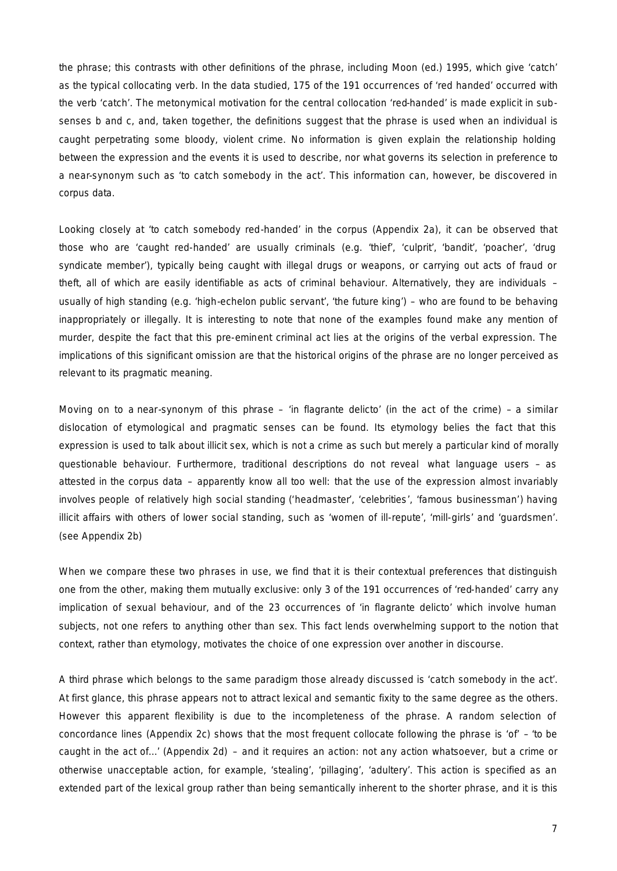the phrase; this contrasts with other definitions of the phrase, including Moon (ed.) 1995, which give 'catch' as the typical collocating verb. In the data studied, 175 of the 191 occurrences of 'red handed' occurred with the verb 'catch'. The metonymical motivation for the central collocation 'red-handed' is made explicit in subsenses b and c, and, taken together, the definitions suggest that the phrase is used when an individual is caught perpetrating some bloody, violent crime. No information is given explain the relationship holding between the expression and the events it is used to describe, nor what governs its selection in preference to a near-synonym such as 'to catch somebody in the act'. This information can, however, be discovered in corpus data.

Looking closely at 'to catch somebody red-handed' in the corpus (Appendix 2a), it can be observed that those who are 'caught red-handed' are usually criminals (e.g. 'thief', 'culprit', 'bandit', 'poacher', 'drug syndicate member'), typically being caught with illegal drugs or weapons, or carrying out acts of fraud or theft, all of which are easily identifiable as acts of criminal behaviour. Alternatively, they are individuals – usually of high standing (e.g. 'high-echelon public servant', 'the future king') – who are found to be behaving inappropriately or illegally. It is interesting to note that none of the examples found make any mention of murder, despite the fact that this pre-eminent criminal act lies at the origins of the verbal expression. The implications of this significant omission are that the historical origins of the phrase are no longer perceived as relevant to its pragmatic meaning.

Moving on to a near-synonym of this phrase – 'in flagrante delicto' (in the act of the crime) – a similar dislocation of etymological and pragmatic senses can be found. Its etymology belies the fact that this expression is used to talk about illicit sex, which is not a crime as such but merely a particular kind of morally questionable behaviour. Furthermore, traditional descriptions do not reveal what language users – as attested in the corpus data – apparently know all too well: that the use of the expression almost invariably involves people of relatively high social standing ('headmaster', 'celebrities', 'famous businessman') having illicit affairs with others of lower social standing, such as 'women of ill-repute', 'mill-girls' and 'guardsmen'. (see Appendix 2b)

When we compare these two phrases in use, we find that it is their contextual preferences that distinguish one from the other, making them mutually exclusive: only 3 of the 191 occurrences of 'red-handed' carry any implication of sexual behaviour, and of the 23 occurrences of 'in flagrante delicto' which involve human subjects, not one refers to anything other than sex. This fact lends overwhelming support to the notion that context, rather than etymology, motivates the choice of one expression over another in discourse.

A third phrase which belongs to the same paradigm those already discussed is 'catch somebody in the act'. At first glance, this phrase appears not to attract lexical and semantic fixity to the same degree as the others. However this apparent flexibility is due to the incompleteness of the phrase. A random selection of concordance lines (Appendix 2c) shows that the most frequent collocate following the phrase is 'of' – 'to be caught in the act of...' (Appendix 2d) – and it requires an action: not any action whatsoever, but a crime or otherwise unacceptable action, for example, 'stealing', 'pillaging', 'adultery'. This action is specified as an extended part of the lexical group rather than being semantically inherent to the shorter phrase, and it is this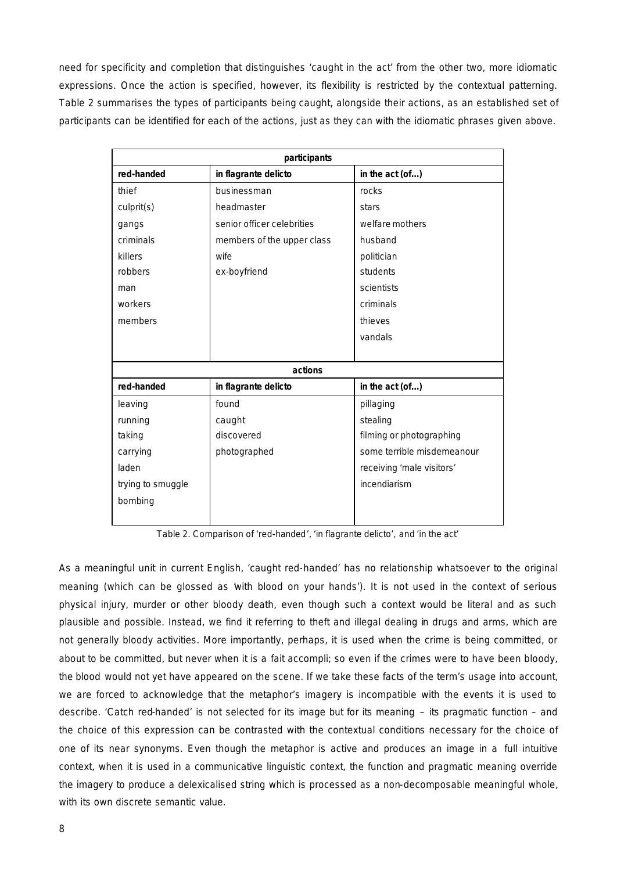need for specificity and completion that distinguishes 'caught in the act' from the other two, more idiomatic expressions. Once the action is specified, however, its flexibility is restricted by the contextual patterning. Table 2 summarises the types of participants being caught, alongside their actions, as an established set of participants can be identified for each of the actions, just as they can with the idiomatic phrases given above.

| participants      |                            |                            |
|-------------------|----------------------------|----------------------------|
| red-handed        | in flagrante delicto       | in the act (of)            |
| thief             | businessman                | rocks                      |
| culprit(s)        | headmaster                 | stars                      |
| gangs             | senior officer celebrities | welfare mothers            |
| criminals         | members of the upper class | husband                    |
| killers           | wife                       | politician                 |
| robbers           | ex-boyfriend               | students                   |
| man               |                            | scientists                 |
| workers           |                            | criminals                  |
| members           |                            | thieves                    |
|                   |                            | vandals                    |
|                   |                            |                            |
| actions           |                            |                            |
| red-handed        | in flagrante delicto       | in the act (of)            |
| leaving           | found                      | pillaging                  |
| running           | caught                     | stealing                   |
| taking            | discovered                 | filming or photographing   |
| carrying          | photographed               | some terrible misdemeanour |
| laden             |                            | receiving 'male visitors'  |
| trying to smuggle |                            | incendiarism               |
| bombing           |                            |                            |
|                   |                            |                            |

*Table 2. Comparison of 'red-handed', 'in flagrante delicto', and 'in the act'*

As a meaningful unit in current English, 'caught red-handed' has no relationship whatsoever to the original meaning (which can be glossed as with blood on your hands'). It is not used in the context of serious physical injury, murder or other bloody death, even though such a context would be literal and as such plausible and possible. Instead, we find it referring to theft and illegal dealing in drugs and arms, which are not generally bloody activities. More importantly, perhaps, it is used when the crime is being committed, or about to be committed, but never when it is a *fait accompli*; so even if the crimes were to have been bloody, the blood would not yet have appeared on the scene. If we take these facts of the term's usage into account, we are forced to acknowledge that the metaphor's imagery is incompatible with the events it is used to describe. 'Catch red-handed' is not selected for its image but for its meaning – its pragmatic function – and the choice of this expression can be contrasted with the contextual conditions necessary for the choice of one of its near synonyms. Even though the metaphor is active and produces an image in a *full intuitive* context, when it is used in a communicative linguistic context, the function and pragmatic meaning override the imagery to produce a delexicalised string which is processed as a non-decomposable meaningful whole, with its own discrete semantic value.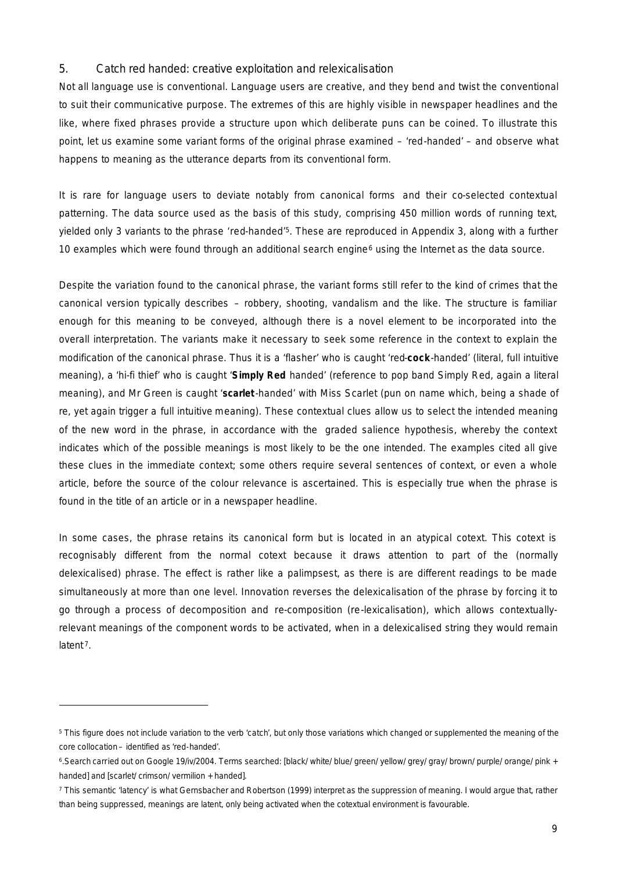#### *5.* Catch red handed*: creative exploitation and relexicalisation*

Not all language use is conventional. Language users are creative, and they bend and twist the conventional to suit their communicative purpose. The extremes of this are highly visible in newspaper headlines and the like, where fixed phrases provide a structure upon which deliberate puns can be coined. To illustrate this point, let us examine some variant forms of the original phrase examined – 'red-handed' – and observe what happens to meaning as the utterance departs from its conventional form.

It is rare for language users to deviate notably from canonical forms and their co-selected contextual patterning. The data source used as the basis of this study, comprising 450 million words of running text, yielded only 3 variants to the phrase 'red-handed'5. These are reproduced in Appendix 3, along with a further 10 examples which were found through an additional search engine $6$  using the Internet as the data source.

Despite the variation found to the canonical phrase, the variant forms still refer to the kind of crimes that the canonical version typically describes – robbery, shooting, vandalism and the like. The structure is familiar enough for this meaning to be conveyed, although there is a novel element to be incorporated into the overall interpretation. The variants make it necessary to seek some reference in the context to explain the modification of the canonical phrase. Thus it is a 'flasher' who is caught 'red-**cock**-handed' (literal, *full intuitive* meaning), a 'hi-fi thief' who is caught '**Simply Red** handed' (reference to pop band Simply Red, again a literal meaning), and Mr Green is caught '**scarlet** -handed' with Miss Scarlet (pun on name which, being a shade of re, yet again trigger a *full intuitive* meaning). These contextual clues allow us to select the intended meaning of the new word in the phrase, in accordance with the *graded salience hypothesis*, whereby the context indicates which of the possible meanings is most likely to be the one intended. The examples cited all give these clues in the immediate context; some others require several sentences of context, or even a whole article, before the source of the colour relevance is ascertained. This is especially true when the phrase is found in the title of an article or in a newspaper headline.

In some cases, the phrase retains its canonical form but is located in an atypical cotext. This cotext is recognisably different from the normal cotext because it draws attention to part of the (normally delexicalised) phrase. The effect is rather like a palimpsest, as there is are different readings to be made simultaneously at more than one level. Innovation reverses the delexicalisation of the phrase by forcing it to go through a process of decomposition and re-composition (re-lexicalisation), which allows contextuallyrelevant meanings of the component words to be activated, when in a delexicalised string they would remain latent<sup>7</sup>

<sup>&</sup>lt;sup>5</sup> This figure does not include variation to the verb 'catch', but only those variations which changed or supplemented the meaning of the core collocation – identified as 'red-handed'.

<sup>6</sup> .Search carried out on Google 19/iv/2004. Terms searched: [black/ white/ blue/ green/ yellow/ grey/ gray/ brown/ purple/ orange/ pink + handed] and [scarlet/ crimson/ vermilion + handed].

<sup>7</sup> This semantic 'latency' is what Gernsbacher and Robertson (1999) interpret as the suppression of meaning. I would argue that, rather than being *suppressed*, meanings are *latent*, only being activated when the cotextual environment is favourable.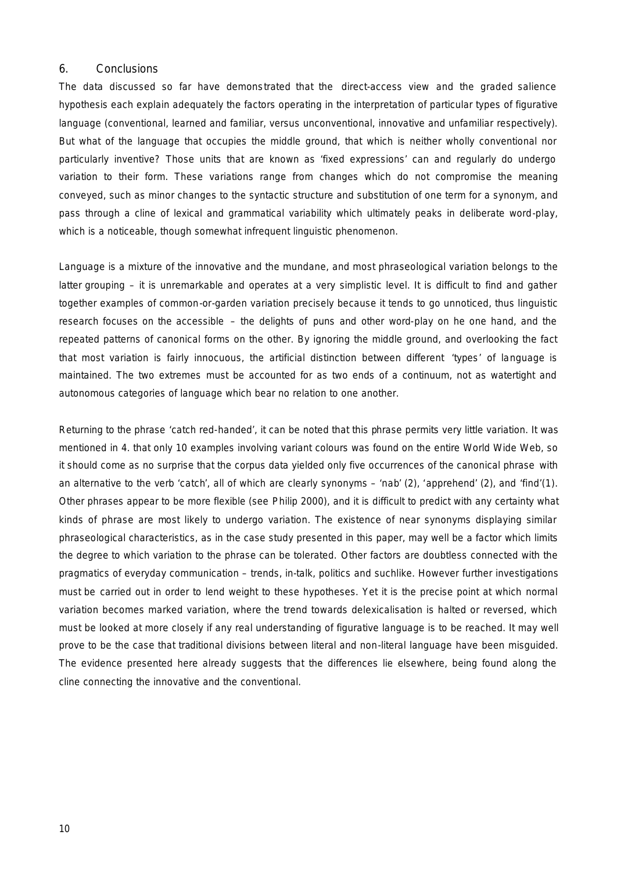#### *6. Conclusions*

The data discussed so far have demonstrated that the *direct-access view* and the *graded salience hypothesis* each explain adequately the factors operating in the interpretation of particular types of figurative language (conventional, learned and familiar, versus unconventional, innovative and unfamiliar respectively). But what of the language that occupies the middle ground, that which is neither wholly conventional nor particularly inventive? Those units that are known as 'fixed expressions' can and regularly do undergo variation to their form. These variations range from changes which do not compromise the meaning conveyed, such as minor changes to the syntactic structure and substitution of one term for a synonym, and pass through a cline of lexical and grammatical variability which ultimately peaks in deliberate word-play, which is a noticeable, though somewhat infrequent linguistic phenomenon.

Language is a mixture of the innovative and the mundane, and most phraseological variation belongs to the latter grouping – it is unremarkable and operates at a very simplistic level. It is difficult to find and gather together examples of common-or-garden variation precisely because it tends to go unnoticed, thus linguistic research focuses on the accessible – the delights of puns and other word-play on he one hand, and the repeated patterns of canonical forms on the other. By ignoring the middle ground, and overlooking the fact that most variation is fairly innocuous, the artificial distinction between different 'types' of language is maintained. The two extremes must be accounted for as two ends of a continuum, not as watertight and autonomous categories of language which bear no relation to one another.

Returning to the phrase 'catch red-handed', it can be noted that this phrase permits very little variation. It was mentioned in 4. that only 10 examples involving variant colours was found on the entire World Wide Web, so it should come as no surprise that the corpus data yielded only five occurrences of the canonical phrase with an alternative to the verb 'catch', all of which are clearly synonyms – 'nab' (2), 'apprehend' (2), and 'find'(1). Other phrases appear to be more flexible (see Philip 2000), and it is difficult to predict with any certainty what kinds of phrase are most likely to undergo variation. The existence of near synonyms displaying similar phraseological characteristics, as in the case study presented in this paper, may well be a factor which limits the degree to which variation to the phrase can be tolerated. Other factors are doubtless connected with the pragmatics of everyday communication – trends, in-talk, politics and suchlike. However further investigations must be carried out in order to lend weight to these hypotheses. Yet it is the precise point at which normal variation becomes marked variation, where the trend towards delexicalisation is halted or reversed, which must be looked at more closely if any real understanding of figurative language is to be reached. It may well prove to be the case that traditional divisions between literal and non-literal language have been misguided. The evidence presented here already suggests that the differences lie elsewhere, being found along the cline connecting the innovative and the conventional.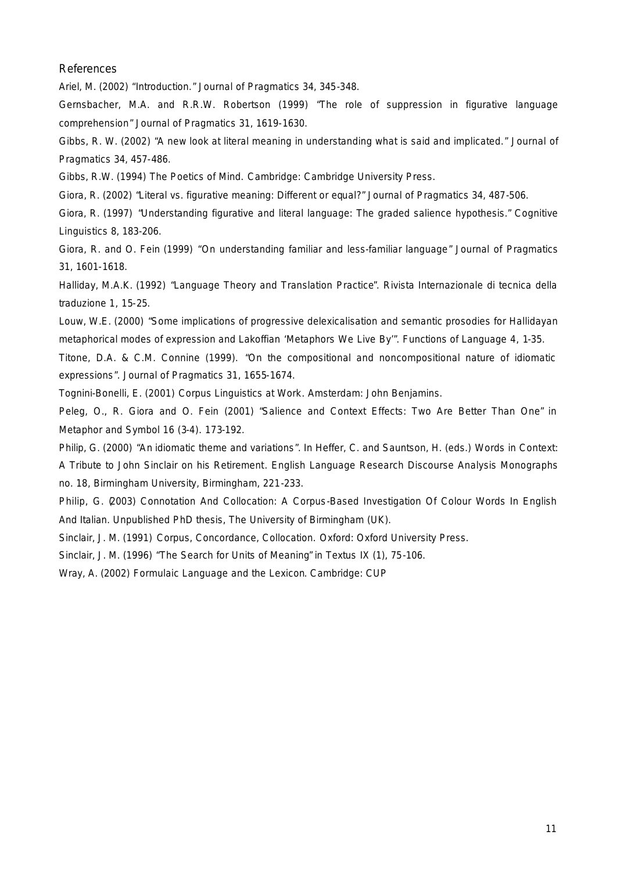*References*

Ariel, M. (2002) "Introduction." *Journal of Pragmatics* 34, 345-348.

Gernsbacher, M.A. and R.R.W. Robertson (1999) "The role of suppression in figurative language comprehension" *Journal of Pragmatics* 31, 1619-1630.

Gibbs, R. W. (2002) "A new look at literal meaning in understanding what is said and implicated." *Journal of Pragmatics* 34, 457-486.

Gibbs, R.W. (1994) *The Poetics of Mind.* Cambridge: Cambridge University Press.

Giora, R. (2002) "Literal vs. figurative meaning: Different or equal?" *Journal of Pragmatics* 34, 487-506.

Giora, R. (1997) "Understanding figurative and literal language: The graded salience hypothesis." *Cognitive Linguistics* 8, 183-206.

Giora, R. and O. Fein (1999) "On understanding familiar and less-familiar language" *Journal of Pragmatics* 31, 1601-1618.

Halliday, M.A.K. (1992) "Language Theory and Translation Practice". *Rivista Internazionale di tecnica della traduzione* 1, 15-25.

Louw, W.E. (2000) "Some implications of progressive delexicalisation and semantic prosodies for Hallidayan metaphorical modes of expression and Lakoffian 'Metaphors We Live By'". *Functions of Language* 4, 1-35.

Titone, D.A. & C.M. Connine (1999). "On the compositional and noncompositional nature of idiomatic expressions". *Journal of Pragmatics* 31, 1655-1674.

Tognini-Bonelli, E. (2001) *Corpus Linguistics at Work*. Amsterdam: John Benjamins.

Peleg, O., R. Giora and O. Fein (2001) "Salience and Context Effects: Two Are Better Than One" in *Metaphor and Symbol* 16 (3-4). 173-192.

Philip, G. (2000) "An idiomatic theme and variations". In Heffer, C. and Sauntson, H. (eds.) *Words in Context: A Tribute to John Sinclair on his Retirement*. English Language Research Discourse Analysis Monographs no. 18, Birmingham University, Birmingham, 221-233.

Philip, G. (2003) *Connotation And Collocation: A Corpus-Based Investigation Of Colour Words In English And Italian*. Unpublished PhD thesis, The University of Birmingham (UK).

Sinclair, J. M. (1991) *Corpus, Concordance, Collocation.* Oxford: Oxford University Press.

Sinclair, J. M. (1996) "The Search for Units of Meaning" in *Textus* IX (1), 75-106.

Wray, A. (2002) *Formulaic Language and the Lexicon*. Cambridge: CUP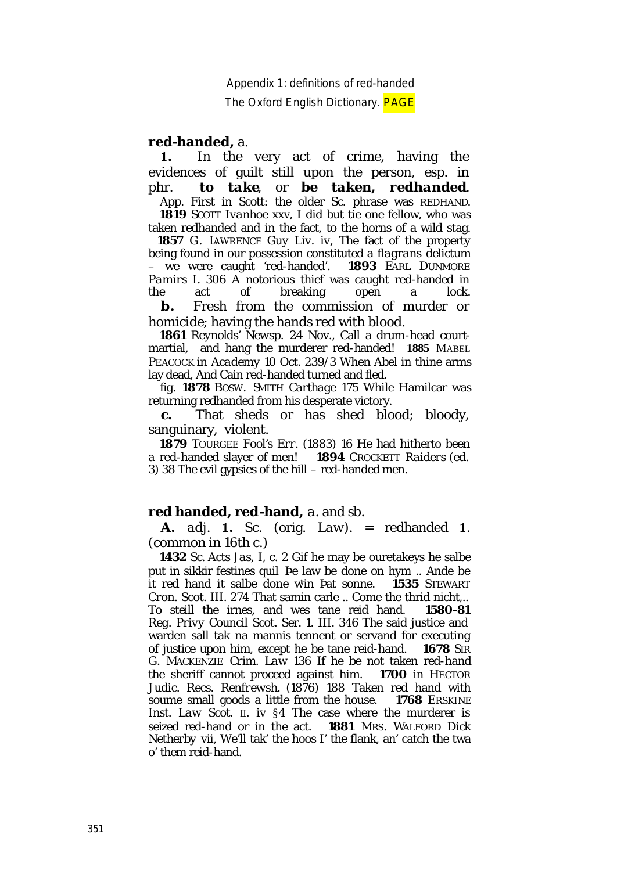The Oxford English Dictionary. **PAGE** 

# **red-handed,** *a*.

 **1.** In the very act of crime, having the evidences of guilt still upon the person, esp. in phr. *to take*, or *be taken, redhanded*. App. First in Scott: the older Sc. phrase was REDHAND.

 **1819** SCOTT *Ivanhoe* xxv, I did but tie one fellow, who was taken redhanded and in the fact, to the horns of a wild stag. **1857** G. LAWRENCE *Guy Liv. iv*, The fact of the property being found in our possession constituted a *flagrans delictum* – we were caught 'red-handed'. **1893** EARL DUNMORE *Pamirs I.* 306 A notorious thief was caught red-handed in the act of breaking open a lock.

 **b.** Fresh from the commission of murder or homicide; having the hands red with blood.

 **1861** *Reynolds' Newsp.* 24 Nov., Call a drum-head courtmartial, and hang the murderer red-handed! **1885** MABEL PEACOCK in *Academy* 10 Oct. 239/3 When Abel in thine arms lay dead, And Cain red-handed turned and fled.

 *fig.* **1878** BOSW. SMITH *Carthage* 175 While Hamilcar was returning redhanded from his desperate victory.

 **c.** That sheds or has shed blood; bloody, sanguinary, violent.

 **1879** TOURGEE *Fool's Err.* (1883) 16 He had hitherto been a red-handed slayer of men! **1894** CROCKETT *Raiders* (ed. 3) 38 The evil gypsies of the hill – red-handed men.

# **red handed, red-hand,** *a.* and *sb*.

 **A.** *adj.* **1.** *Sc*. (orig. *Law*). = redhanded **1**. (common in 16th c.)

 **1432** *Sc. Acts Jas, I*, c. 2 Gif he may be ouretakeys he salbe put in sikkir festines quil *Þ*e law be done on hym .. Ande be it red hand it salbe done win Pat sonne. **1535** STEWART *Cron. Scot.* III. 274 That samin carle .. Come the thrid nicht,.. To steill the irnes, and wes tane reid hand. **1580-81** *Reg. Privy Council Scot.* Ser. 1. III. 346 The said justice and warden sall tak na mannis tennent or servand for executing of justice upon him, except he be tane reid-hand. **1678** SIR G. MACKENZIE *Crim. Law* 136 If he be not taken red-hand the sheriff cannot proceed against him. **1700** in HECTOR *Judic. Recs. Renfrewsh.* (1876) 188 Taken red hand with soume small goods a little from the house. **1768** ERSKINE *Inst. Law Scot.* II. iv §4 The case where the murderer is seized red-hand or in the act. **1881** MRS. WALFORD *Dick Netherby* vii, We'll tak' the hoos I' the flank, an' catch the twa o' them reid-hand.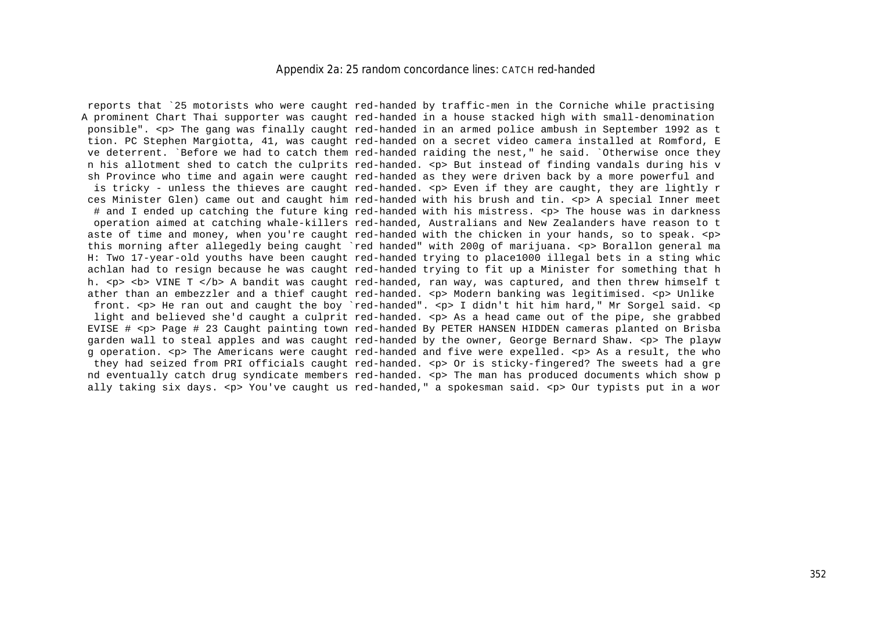#### *Appendix 2a: 25 random concordance lines:* CATCH red-handed

 reports that `25 motorists who were caught red-handed by traffic-men in the Corniche while practising A prominent Chart Thai supporter was caught red-handed in a house stacked high with small-denomination ponsible". <p> The gang was finally caught red-handed in an armed police ambush in September 1992 as t tion. PC Stephen Margiotta, 41, was caught red-handed on a secret video camera installed at Romford, E ve deterrent. `Before we had to catch them red-handed raiding the nest," he said. `Otherwise once they n his allotment shed to catch the culprits red-handed. <p> But instead of finding vandals during his v sh Province who time and again were caught red-handed as they were driven back by a more powerful and is tricky - unless the thieves are caught red-handed.  $\langle p \rangle$  Even if they are caught, they are lightly r ces Minister Glen) came out and caught him red-handed with his brush and tin. <p> A special Inner meet # and I ended up catching the future king red-handed with his mistress. <p> The house was in darkness operation aimed at catching whale-killers red-handed, Australians and New Zealanders have reason to t aste of time and money, when you're caught red-handed with the chicken in your hands, so to speak. <p> this morning after allegedly being caught `red handed" with 200g of marijuana. <p> Borallon general ma H: Two 17-year-old youths have been caught red-handed trying to place1000 illegal bets in a sting whic achlan had to resign because he was caught red-handed trying to fit up a Minister for something that h h. <p> <b> VINE T </b> A bandit was caught red-handed, ran way, was captured, and then threw himself t ather than an embezzler and a thief caught red-handed. <p> Modern banking was legitimised. <p> Unlike front. <p> He ran out and caught the boy `red-handed". <p> I didn't hit him hard," Mr Sorgel said. <p> light and believed she'd caught a culprit red-handed. <p> As a head came out of the pipe, she grabbed EVISE # <p> Page # 23 Caught painting town red-handed By PETER HANSEN HIDDEN cameras planted on Brisba garden wall to steal apples and was caught red-handed by the owner, George Bernard Shaw, <p> The playw g operation. <p> The Americans were caught red-handed and five were expelled. <p> As a result, the who they had seized from PRI officials caught red-handed. <p> Or is sticky-fingered? The sweets had a gre nd eventually catch drug syndicate members red-handed. <p> The man has produced documents which show p ally taking six days. <p> You've caught us red-handed," a spokesman said. <p> Our typists put in a wor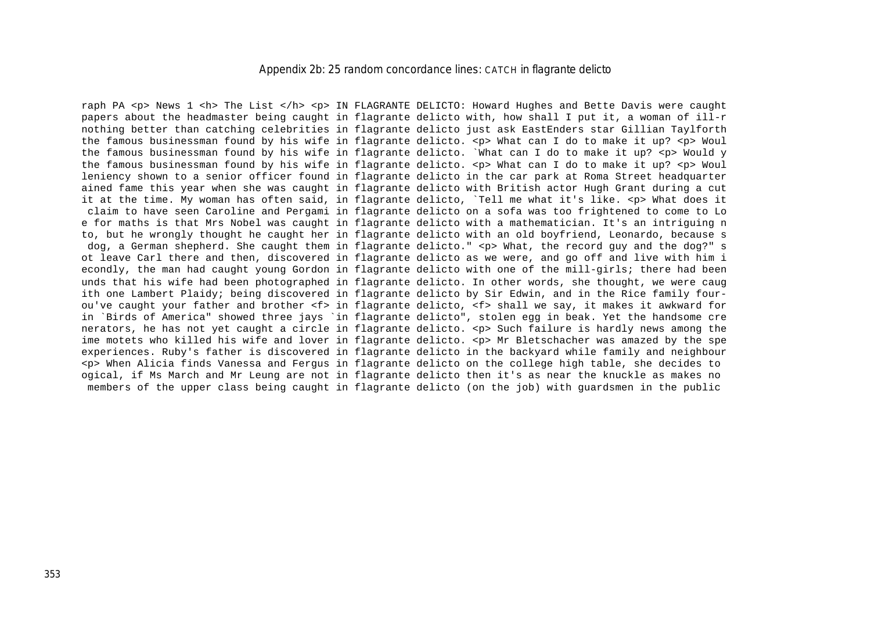#### *Appendix 2b: 25 random concordance lines:* CATCH in flagrante delicto

raph PA <p> News 1 <h> The List </h> <p> IN FLAGRANTE DELICTO: Howard Hughes and Bette Davis were caught papers about the headmaster being caught in flagrante delicto with, how shall I put it, a woman of ill-r nothing better than catching celebrities in flagrante delicto just ask EastEnders star Gillian Taylforth the famous businessman found by his wife in flagrante delicto. <p> What can I do to make it up? <p> Woul the famous businessman found by his wife in flagrante delicto. `What can I do to make it up? <p> Would y the famous businessman found by his wife in flagrante delicto. <p> What can I do to make it up? <p> Woul leniency shown to a senior officer found in flagrante delicto in the car park at Roma Street headquarter ained fame this year when she was caught in flagrante delicto with British actor Hugh Grant during a cut it at the time. My woman has often said, in flagrante delicto, `Tell me what it's like. <p> What does it claim to have seen Caroline and Pergami in flagrante delicto on a sofa was too frightened to come to Lo e for maths is that Mrs Nobel was caught in flagrante delicto with a mathematician. It's an intriguing n to, but he wrongly thought he caught her in flagrante delicto with an old boyfriend, Leonardo, because s dog, a German shepherd. She caught them in flagrante delicto." <p> What, the record guy and the dog?" s ot leave Carl there and then, discovered in flagrante delicto as we were, and go off and live with him i econdly, the man had caught young Gordon in flagrante delicto with one of the mill-girls; there had been unds that his wife had been photographed in flagrante delicto. In other words, she thought, we were caug ith one Lambert Plaidy; being discovered in flagrante delicto by Sir Edwin, and in the Rice family fourou've caught your father and brother <f> in flagrante delicto, <f> shall we say, it makes it awkward for in `Birds of America" showed three jays `in flagrante delicto", stolen egg in beak. Yet the handsome cre nerators, he has not yet caught a circle in flagrante delicto. <p> Such failure is hardly news among the ime motets who killed his wife and lover in flagrante delicto. <p> Mr Bletschacher was amazed by the spe experiences. Ruby's father is discovered in flagrante delicto in the backyard while family and neighbour <p> When Alicia finds Vanessa and Fergus in flagrante delicto on the college high table, she decides to ogical, if Ms March and Mr Leung are not in flagrante delicto then it's as near the knuckle as makes no members of the upper class being caught in flagrante delicto (on the job) with guardsmen in the public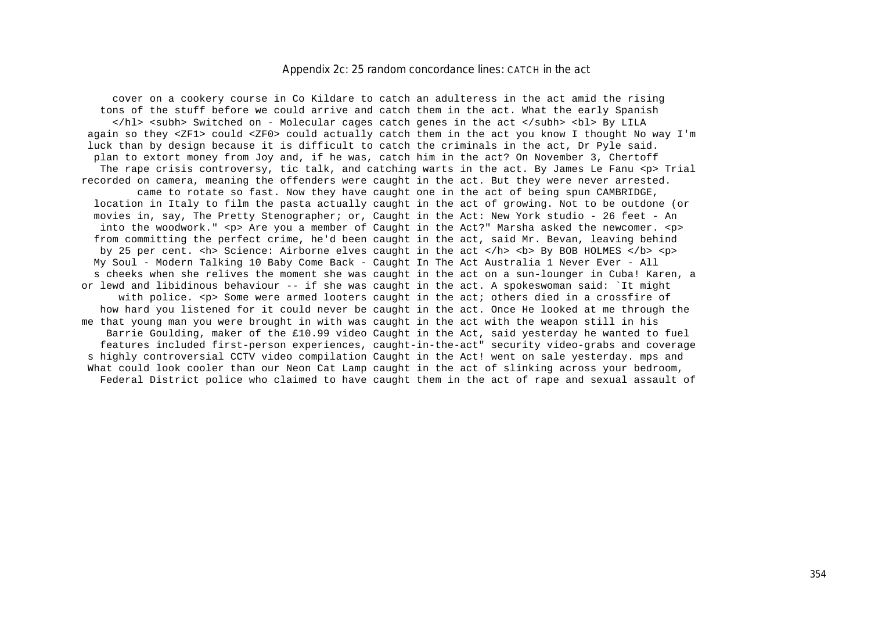### *Appendix 2c: 25 random concordance lines:* CATCH in the act

 cover on a cookery course in Co Kildare to catch an adulteress in the act amid the rising tons of the stuff before we could arrive and catch them in the act. What the early Spanish </hl> <subh> Switched on - Molecular cages catch genes in the act </subh> <bl> By LILA again so they <ZF1> could <ZF0> could actually catch them in the act you know I thought No way I'm luck than by design because it is difficult to catch the criminals in the act, Dr Pyle said. plan to extort money from Joy and, if he was, catch him in the act? On November 3, Chertoff The rape crisis controversy, tic talk, and catching warts in the act. By James Le Fanu <p> Trial recorded on camera, meaning the offenders were caught in the act. But they were never arrested. came to rotate so fast. Now they have caught one in the act of being spun CAMBRIDGE, location in Italy to film the pasta actually caught in the act of growing. Not to be outdone (or movies in, say, The Pretty Stenographer; or, Caught in the Act: New York studio - 26 feet - An into the woodwork."  $\langle p \rangle$  Are you a member of Caught in the Act?" Marsha asked the newcomer.  $\langle p \rangle$  from committing the perfect crime, he'd been caught in the act, said Mr. Bevan, leaving behind by 25 per cent. <h> Science: Airborne elves caught in the act </h> <br > <br > By BOB HOLMES </b> <p>>>>>> My Soul - Modern Talking 10 Baby Come Back - Caught In The Act Australia 1 Never Ever - All s cheeks when she relives the moment she was caught in the act on a sun-lounger in Cuba! Karen, a or lewd and libidinous behaviour -- if she was caught in the act. A spokeswoman said: `It might with police. <p> Some were armed looters caught in the act; others died in a crossfire of how hard you listened for it could never be caught in the act. Once He looked at me through the me that young man you were brought in with was caught in the act with the weapon still in his Barrie Goulding, maker of the £10.99 video Caught in the Act, said yesterday he wanted to fuel features included first-person experiences, caught-in-the-act" security video-grabs and coverage s highly controversial CCTV video compilation Caught in the Act! went on sale yesterday. mps and What could look cooler than our Neon Cat Lamp caught in the act of slinking across your bedroom, Federal District police who claimed to have caught them in the act of rape and sexual assault of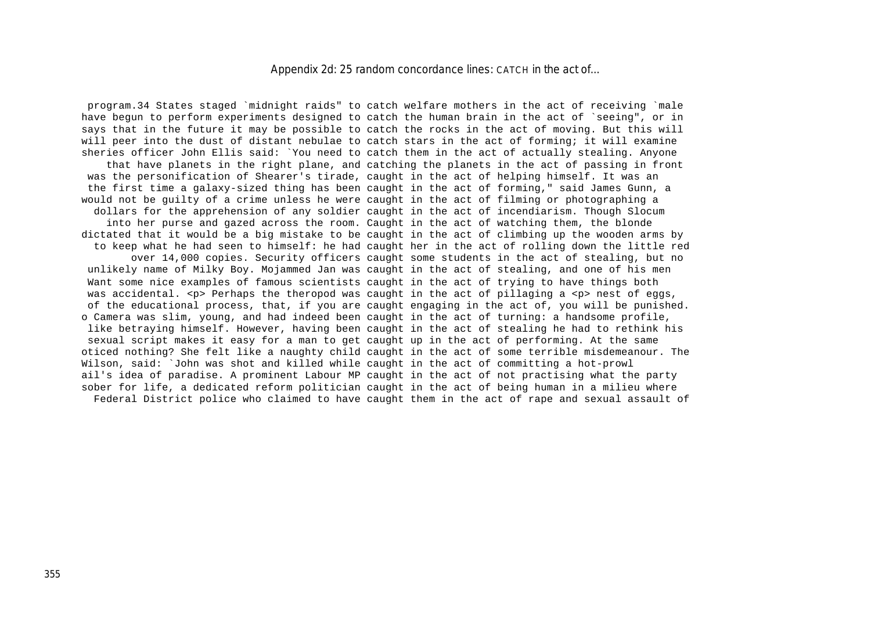#### *Appendix 2d: 25 random concordance lines:* CATCH in the act of...

 program.34 States staged `midnight raids" to catch welfare mothers in the act of receiving `male have begun to perform experiments designed to catch the human brain in the act of `seeing", or in says that in the future it may be possible to catch the rocks in the act of moving. But this will will peer into the dust of distant nebulae to catch stars in the act of forming; it will examine sheries officer John Ellis said: `You need to catch them in the act of actually stealing. Anyone that have planets in the right plane, and catching the planets in the act of passing in front was the personification of Shearer's tirade, caught in the act of helping himself. It was an the first time a galaxy-sized thing has been caught in the act of forming," said James Gunn, a would not be guilty of a crime unless he were caught in the act of filming or photographing a dollars for the apprehension of any soldier caught in the act of incendiarism. Though Slocum into her purse and gazed across the room. Caught in the act of watching them, the blonde dictated that it would be a big mistake to be caught in the act of climbing up the wooden arms by to keep what he had seen to himself: he had caught her in the act of rolling down the little red over 14,000 copies. Security officers caught some students in the act of stealing, but no unlikely name of Milky Boy. Mojammed Jan was caught in the act of stealing, and one of his men Want some nice examples of famous scientists caught in the act of trying to have things both was accidental, <p> Perhaps the theropod was caught in the act of pillaging a <p> nest of eggs, of the educational process, that, if you are caught engaging in the act of, you will be punished. o Camera was slim, young, and had indeed been caught in the act of turning: a handsome profile, like betraying himself. However, having been caught in the act of stealing he had to rethink his sexual script makes it easy for a man to get caught up in the act of performing. At the same oticed nothing? She felt like a naughty child caught in the act of some terrible misdemeanour. The Wilson, said: `John was shot and killed while caught in the act of committing a hot-prowl ail's idea of paradise. A prominent Labour MP caught in the act of not practising what the party sober for life, a dedicated reform politician caught in the act of being human in a milieu where Federal District police who claimed to have caught them in the act of rape and sexual assault of